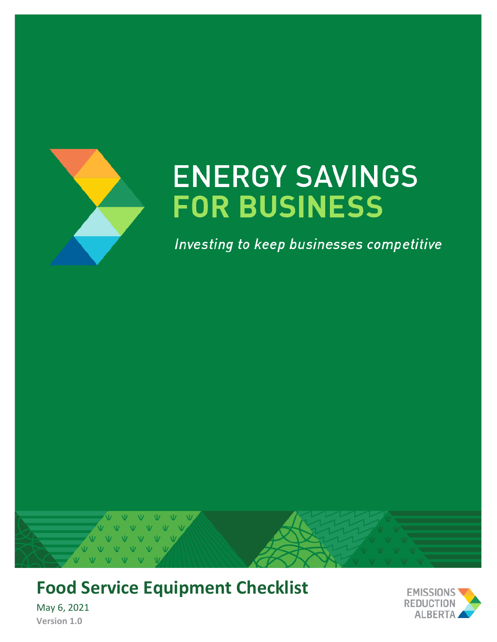

# **ENERGY SAVINGS FOR BUSINESS**

Investing to keep businesses competitive



## **Food Service Equipment Checklist**



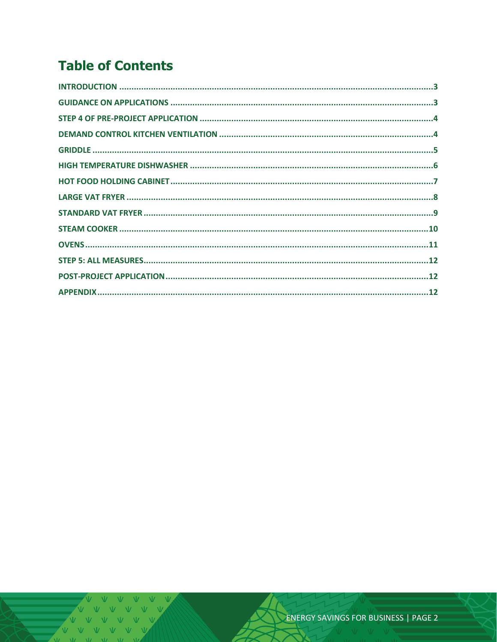### **Table of Contents**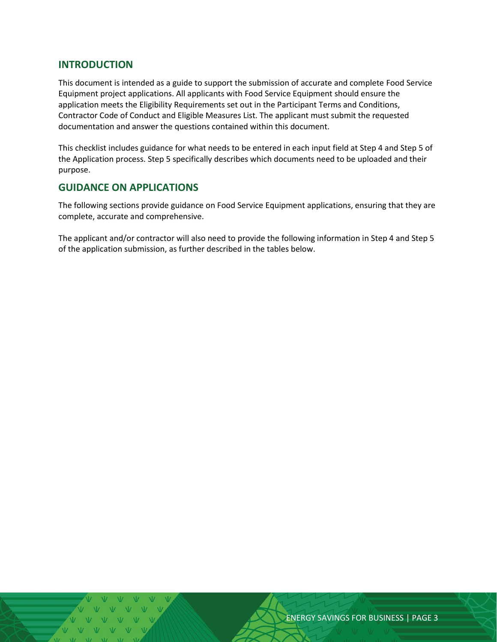#### <span id="page-2-0"></span>**INTRODUCTION**

This document is intended as a guide to support the submission of accurate and complete Food Service Equipment project applications. All applicants with Food Service Equipment should ensure the application meets the Eligibility Requirements set out in the Participant Terms and Conditions, Contractor Code of Conduct and Eligible Measures List. The applicant must submit the requested documentation and answer the questions contained within this document.

This checklist includes guidance for what needs to be entered in each input field at Step 4 and Step 5 of the Application process. Step 5 specifically describes which documents need to be uploaded and their purpose.

#### <span id="page-2-1"></span>**GUIDANCE ON APPLICATIONS**

The following sections provide guidance on Food Service Equipment applications, ensuring that they are complete, accurate and comprehensive.

The applicant and/or contractor will also need to provide the following information in Step 4 and Step 5 of the application submission, as further described in the tables below.

ENERGY SAVINGS FOR BUSINESS | PAGE 3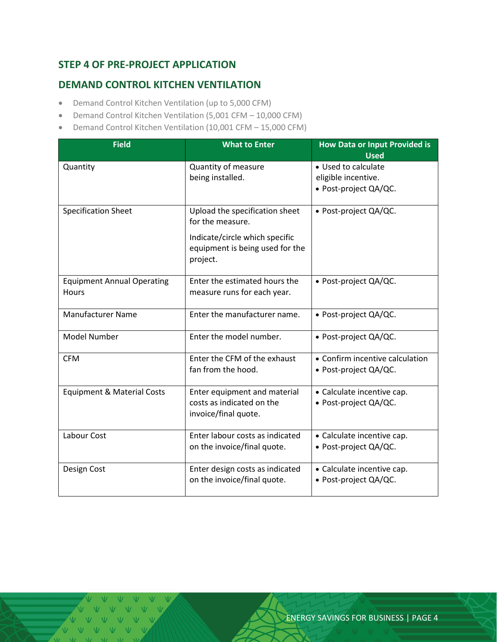#### <span id="page-3-0"></span>**STEP 4 OF PRE-PROJECT APPLICATION**

#### <span id="page-3-1"></span>**DEMAND CONTROL KITCHEN VENTILATION**

- Demand Control Kitchen Ventilation (up to 5,000 CFM)
- Demand Control Kitchen Ventilation (5,001 CFM 10,000 CFM)
- Demand Control Kitchen Ventilation (10,001 CFM 15,000 CFM)

| <b>Field</b>                                      | <b>What to Enter</b>                                                                                                                | <b>How Data or Input Provided is</b><br><b>Used</b>                 |
|---------------------------------------------------|-------------------------------------------------------------------------------------------------------------------------------------|---------------------------------------------------------------------|
| Quantity                                          | Quantity of measure<br>being installed.                                                                                             | • Used to calculate<br>eligible incentive.<br>· Post-project QA/QC. |
| <b>Specification Sheet</b>                        | Upload the specification sheet<br>for the measure.<br>Indicate/circle which specific<br>equipment is being used for the<br>project. | • Post-project QA/QC.                                               |
| <b>Equipment Annual Operating</b><br><b>Hours</b> | Enter the estimated hours the<br>measure runs for each year.                                                                        | • Post-project QA/QC.                                               |
| Manufacturer Name                                 | Enter the manufacturer name.                                                                                                        | • Post-project QA/QC.                                               |
| Model Number                                      | Enter the model number.                                                                                                             | • Post-project QA/QC.                                               |
| <b>CFM</b>                                        | Enter the CFM of the exhaust<br>fan from the hood.                                                                                  | • Confirm incentive calculation<br>· Post-project QA/QC.            |
| <b>Equipment &amp; Material Costs</b>             | Enter equipment and material<br>costs as indicated on the<br>invoice/final quote.                                                   | • Calculate incentive cap.<br>• Post-project QA/QC.                 |
| Labour Cost                                       | Enter labour costs as indicated<br>on the invoice/final quote.                                                                      | • Calculate incentive cap.<br>• Post-project QA/QC.                 |
| Design Cost                                       | Enter design costs as indicated<br>on the invoice/final quote.                                                                      | • Calculate incentive cap.<br>• Post-project QA/QC.                 |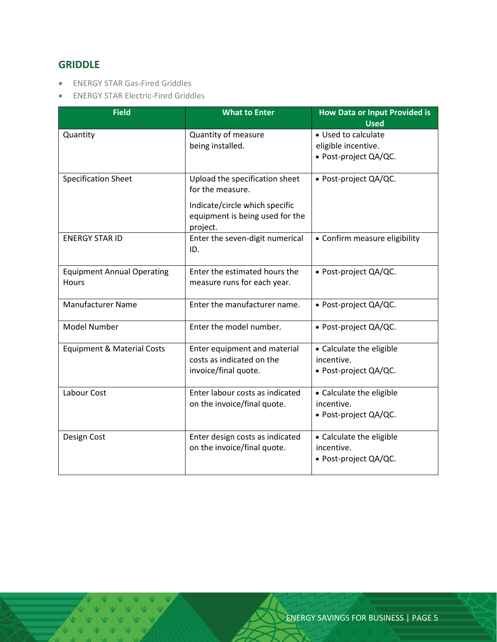#### <span id="page-4-0"></span>**GRIDDLE**

- ENERGY STAR Gas-Fired Griddles
- ENERGY STAR Electric-Fired Griddles

| <b>Field</b>                                      | <b>What to Enter</b>                                                                                                                | <b>How Data or Input Provided is</b><br><b>Used</b>                 |
|---------------------------------------------------|-------------------------------------------------------------------------------------------------------------------------------------|---------------------------------------------------------------------|
| Quantity                                          | Quantity of measure<br>being installed.                                                                                             | • Used to calculate<br>eligible incentive.<br>· Post-project QA/QC. |
| <b>Specification Sheet</b>                        | Upload the specification sheet<br>for the measure.<br>Indicate/circle which specific<br>equipment is being used for the<br>project. | • Post-project QA/QC.                                               |
| <b>ENERGY STAR ID</b>                             | Enter the seven-digit numerical<br>ID.                                                                                              | • Confirm measure eligibility                                       |
| <b>Equipment Annual Operating</b><br><b>Hours</b> | Enter the estimated hours the<br>measure runs for each year.                                                                        | · Post-project QA/QC.                                               |
| <b>Manufacturer Name</b>                          | Enter the manufacturer name.                                                                                                        | • Post-project QA/QC.                                               |
| <b>Model Number</b>                               | Enter the model number.                                                                                                             | • Post-project QA/QC.                                               |
| <b>Equipment &amp; Material Costs</b>             | Enter equipment and material<br>costs as indicated on the<br>invoice/final quote.                                                   | • Calculate the eligible<br>incentive.<br>• Post-project QA/QC.     |
| Labour Cost                                       | Enter labour costs as indicated<br>on the invoice/final quote.                                                                      | • Calculate the eligible<br>incentive.<br>• Post-project QA/QC.     |
| Design Cost                                       | Enter design costs as indicated<br>on the invoice/final quote.                                                                      | • Calculate the eligible<br>incentive.<br>• Post-project QA/QC.     |

V V V V V V VVVVV V V V V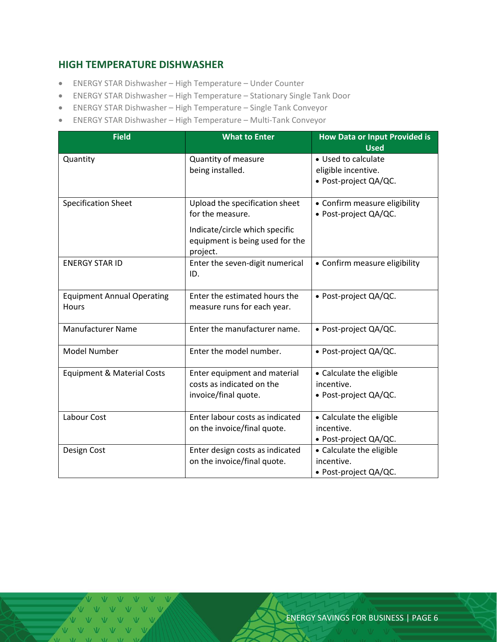#### <span id="page-5-0"></span>**HIGH TEMPERATURE DISHWASHER**

- ENERGY STAR Dishwasher High Temperature Under Counter
- ENERGY STAR Dishwasher High Temperature Stationary Single Tank Door
- ENERGY STAR Dishwasher High Temperature Single Tank Conveyor
- ENERGY STAR Dishwasher High Temperature Multi-Tank Conveyor

| <b>Field</b>                               | <b>What to Enter</b>                                                                                                                | <b>How Data or Input Provided is</b><br><b>Used</b>                 |  |
|--------------------------------------------|-------------------------------------------------------------------------------------------------------------------------------------|---------------------------------------------------------------------|--|
| Quantity                                   | Quantity of measure<br>being installed.                                                                                             | • Used to calculate<br>eligible incentive.<br>· Post-project QA/QC. |  |
| <b>Specification Sheet</b>                 | Upload the specification sheet<br>for the measure.<br>Indicate/circle which specific<br>equipment is being used for the<br>project. | • Confirm measure eligibility<br>· Post-project QA/QC.              |  |
| <b>ENERGY STAR ID</b>                      | Enter the seven-digit numerical<br>ID.                                                                                              | • Confirm measure eligibility                                       |  |
| <b>Equipment Annual Operating</b><br>Hours | Enter the estimated hours the<br>measure runs for each year.                                                                        | · Post-project QA/QC.                                               |  |
| <b>Manufacturer Name</b>                   | Enter the manufacturer name.                                                                                                        | • Post-project QA/QC.                                               |  |
| <b>Model Number</b>                        | Enter the model number.                                                                                                             | • Post-project QA/QC.                                               |  |
| <b>Equipment &amp; Material Costs</b>      | Enter equipment and material<br>costs as indicated on the<br>invoice/final quote.                                                   | • Calculate the eligible<br>incentive.<br>• Post-project QA/QC.     |  |
| Labour Cost                                | Enter labour costs as indicated<br>on the invoice/final quote.                                                                      | • Calculate the eligible<br>incentive.<br>• Post-project QA/QC.     |  |
| Design Cost                                | Enter design costs as indicated<br>on the invoice/final quote.                                                                      | • Calculate the eligible<br>incentive.<br>• Post-project QA/QC.     |  |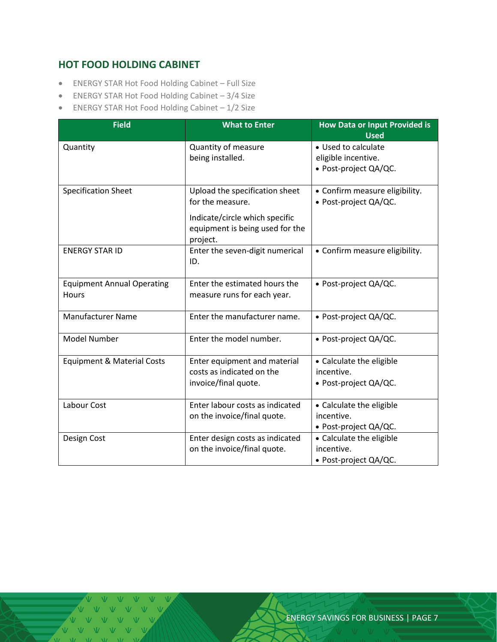#### <span id="page-6-0"></span>**HOT FOOD HOLDING CABINET**

- ENERGY STAR Hot Food Holding Cabinet Full Size
- ENERGY STAR Hot Food Holding Cabinet 3/4 Size
- ENERGY STAR Hot Food Holding Cabinet 1/2 Size

| <b>Field</b>                               | <b>What to Enter</b>                                                          | <b>How Data or Input Provided is</b><br><b>Used</b>     |
|--------------------------------------------|-------------------------------------------------------------------------------|---------------------------------------------------------|
| Quantity                                   | Quantity of measure<br>being installed.                                       | • Used to calculate<br>eligible incentive.              |
|                                            |                                                                               | · Post-project QA/QC.                                   |
| <b>Specification Sheet</b>                 | Upload the specification sheet<br>for the measure.                            | • Confirm measure eligibility.<br>• Post-project QA/QC. |
|                                            | Indicate/circle which specific<br>equipment is being used for the<br>project. |                                                         |
| <b>ENERGY STAR ID</b>                      | Enter the seven-digit numerical<br>ID.                                        | • Confirm measure eligibility.                          |
| <b>Equipment Annual Operating</b><br>Hours | Enter the estimated hours the<br>measure runs for each year.                  | • Post-project QA/QC.                                   |
| <b>Manufacturer Name</b>                   | Enter the manufacturer name.                                                  | • Post-project QA/QC.                                   |
| <b>Model Number</b>                        | Enter the model number.                                                       | • Post-project QA/QC.                                   |
| <b>Equipment &amp; Material Costs</b>      | Enter equipment and material                                                  | • Calculate the eligible                                |
|                                            | costs as indicated on the<br>invoice/final quote.                             | incentive.<br>• Post-project QA/QC.                     |
| Labour Cost                                | Enter labour costs as indicated                                               | • Calculate the eligible                                |
|                                            | on the invoice/final quote.                                                   | incentive.<br>• Post-project QA/QC.                     |
| Design Cost                                | Enter design costs as indicated                                               | • Calculate the eligible                                |
|                                            | on the invoice/final quote.                                                   | incentive.<br>• Post-project QA/QC.                     |

V V V V  $V - V$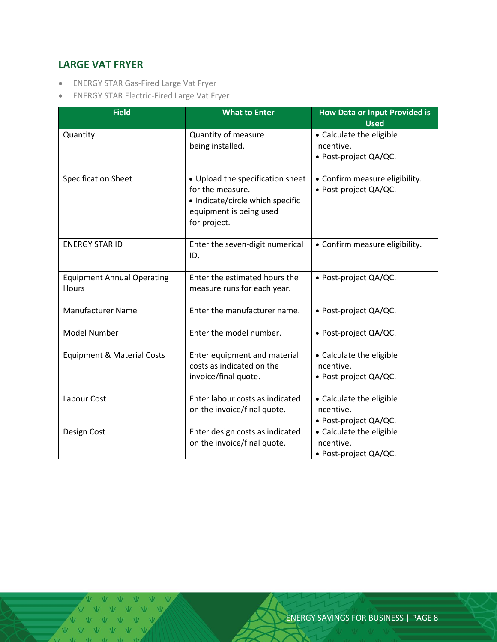#### <span id="page-7-0"></span>**LARGE VAT FRYER**

- ENERGY STAR Gas-Fired Large Vat Fryer
- ENERGY STAR Electric-Fired Large Vat Fryer

| <b>Field</b>                                      | <b>What to Enter</b>                                                                                                                | <b>How Data or Input Provided is</b><br><b>Used</b>             |
|---------------------------------------------------|-------------------------------------------------------------------------------------------------------------------------------------|-----------------------------------------------------------------|
| Quantity                                          | Quantity of measure<br>being installed.                                                                                             | • Calculate the eligible<br>incentive.<br>• Post-project QA/QC. |
| <b>Specification Sheet</b>                        | • Upload the specification sheet<br>for the measure.<br>• Indicate/circle which specific<br>equipment is being used<br>for project. | • Confirm measure eligibility.<br>· Post-project QA/QC.         |
| <b>ENERGY STAR ID</b>                             | Enter the seven-digit numerical<br>ID.                                                                                              | • Confirm measure eligibility.                                  |
| <b>Equipment Annual Operating</b><br><b>Hours</b> | Enter the estimated hours the<br>measure runs for each year.                                                                        | • Post-project QA/QC.                                           |
| <b>Manufacturer Name</b>                          | Enter the manufacturer name.                                                                                                        | · Post-project QA/QC.                                           |
| Model Number                                      | Enter the model number.                                                                                                             | · Post-project QA/QC.                                           |
| <b>Equipment &amp; Material Costs</b>             | Enter equipment and material<br>costs as indicated on the<br>invoice/final quote.                                                   | • Calculate the eligible<br>incentive.<br>· Post-project QA/QC. |
| Labour Cost                                       | Enter labour costs as indicated<br>on the invoice/final quote.                                                                      | • Calculate the eligible<br>incentive.<br>• Post-project QA/QC. |
| Design Cost                                       | Enter design costs as indicated<br>on the invoice/final quote.                                                                      | • Calculate the eligible<br>incentive.<br>· Post-project QA/QC. |

V V V V V V VVVVV VVV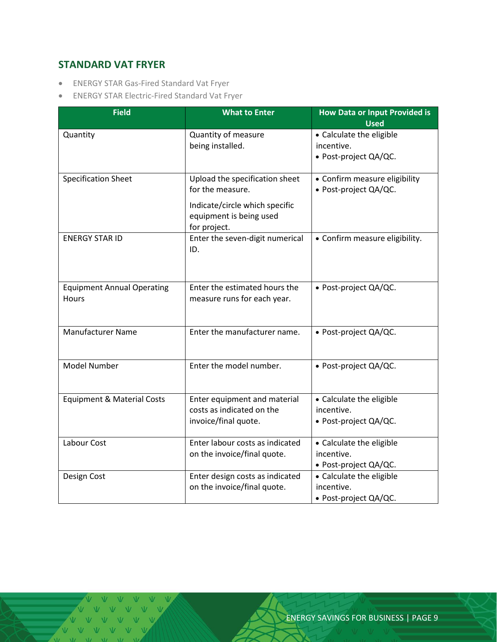#### <span id="page-8-0"></span>**STANDARD VAT FRYER**

- ENERGY STAR Gas-Fired Standard Vat Fryer
- ENERGY STAR Electric-Fired Standard Vat Fryer

| <b>Field</b>                          | <b>What to Enter</b>                                      | <b>How Data or Input Provided is</b><br><b>Used</b> |
|---------------------------------------|-----------------------------------------------------------|-----------------------------------------------------|
| Quantity                              | Quantity of measure                                       | • Calculate the eligible                            |
|                                       | being installed.                                          | incentive.                                          |
|                                       |                                                           | · Post-project QA/QC.                               |
| <b>Specification Sheet</b>            | Upload the specification sheet                            | • Confirm measure eligibility                       |
|                                       | for the measure.                                          | · Post-project QA/QC.                               |
|                                       | Indicate/circle which specific<br>equipment is being used |                                                     |
| <b>ENERGY STAR ID</b>                 | for project.                                              |                                                     |
|                                       | Enter the seven-digit numerical<br>ID.                    | • Confirm measure eligibility.                      |
|                                       |                                                           |                                                     |
| <b>Equipment Annual Operating</b>     | Enter the estimated hours the                             | • Post-project QA/QC.                               |
| Hours                                 | measure runs for each year.                               |                                                     |
| <b>Manufacturer Name</b>              | Enter the manufacturer name.                              | · Post-project QA/QC.                               |
|                                       |                                                           |                                                     |
| <b>Model Number</b>                   | Enter the model number.                                   | • Post-project QA/QC.                               |
|                                       |                                                           |                                                     |
| <b>Equipment &amp; Material Costs</b> | Enter equipment and material                              | • Calculate the eligible                            |
|                                       | costs as indicated on the                                 | incentive.                                          |
|                                       | invoice/final quote.                                      | • Post-project QA/QC.                               |
| Labour Cost                           | Enter labour costs as indicated                           | • Calculate the eligible                            |
|                                       | on the invoice/final quote.                               | incentive.                                          |
|                                       |                                                           | • Post-project QA/QC.                               |
| Design Cost                           | Enter design costs as indicated                           | • Calculate the eligible                            |
|                                       | on the invoice/final quote.                               | incentive.                                          |
|                                       |                                                           | · Post-project QA/QC.                               |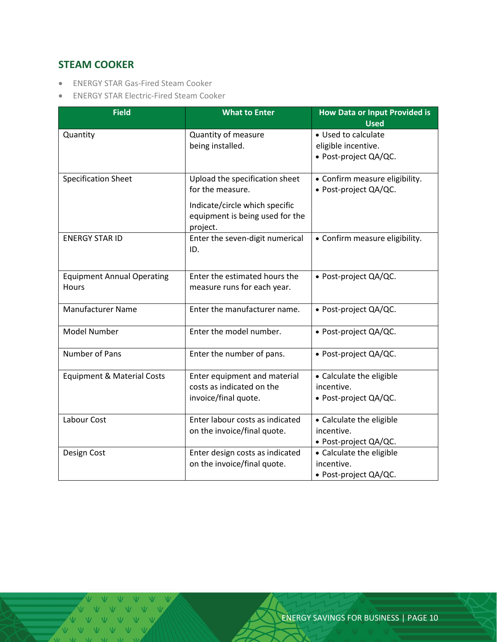#### <span id="page-9-0"></span>**STEAM COOKER**

- ENERGY STAR Gas-Fired Steam Cooker
- ENERGY STAR Electric-Fired Steam Cooker

| <b>Field</b>                               | <b>What to Enter</b>                                                                                                                | <b>How Data or Input Provided is</b><br><b>Used</b>                 |
|--------------------------------------------|-------------------------------------------------------------------------------------------------------------------------------------|---------------------------------------------------------------------|
| Quantity                                   | Quantity of measure<br>being installed.                                                                                             | • Used to calculate<br>eligible incentive.<br>· Post-project QA/QC. |
| <b>Specification Sheet</b>                 | Upload the specification sheet<br>for the measure.<br>Indicate/circle which specific<br>equipment is being used for the<br>project. | • Confirm measure eligibility.<br>· Post-project QA/QC.             |
| <b>ENERGY STAR ID</b>                      | Enter the seven-digit numerical<br>ID.                                                                                              | • Confirm measure eligibility.                                      |
| <b>Equipment Annual Operating</b><br>Hours | Enter the estimated hours the<br>measure runs for each year.                                                                        | • Post-project QA/QC.                                               |
| <b>Manufacturer Name</b>                   | Enter the manufacturer name.                                                                                                        | · Post-project QA/QC.                                               |
| <b>Model Number</b>                        | Enter the model number.                                                                                                             | • Post-project QA/QC.                                               |
| Number of Pans                             | Enter the number of pans.                                                                                                           | · Post-project QA/QC.                                               |
| <b>Equipment &amp; Material Costs</b>      | Enter equipment and material<br>costs as indicated on the<br>invoice/final quote.                                                   | • Calculate the eligible<br>incentive.<br>• Post-project QA/QC.     |
| Labour Cost                                | Enter labour costs as indicated<br>on the invoice/final quote.                                                                      | • Calculate the eligible<br>incentive.<br>• Post-project QA/QC.     |
| Design Cost                                | Enter design costs as indicated<br>on the invoice/final quote.                                                                      | • Calculate the eligible<br>incentive.<br>• Post-project QA/QC.     |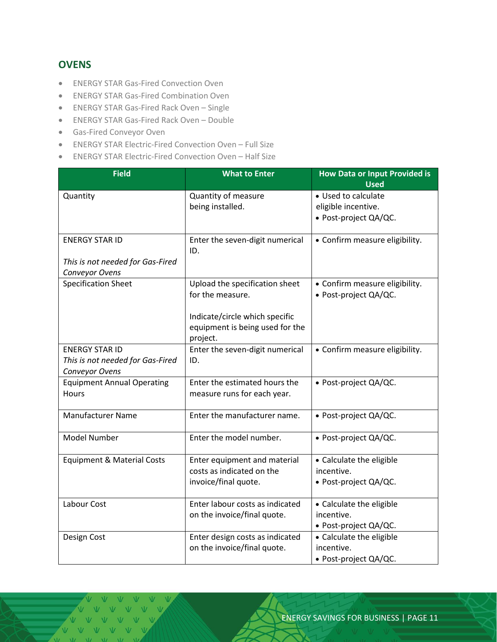#### <span id="page-10-0"></span>**OVENS**

- ENERGY STAR Gas-Fired Convection Oven
- ENERGY STAR Gas-Fired Combination Oven
- ENERGY STAR Gas-Fired Rack Oven Single
- ENERGY STAR Gas-Fired Rack Oven Double
- Gas-Fired Conveyor Oven
- ENERGY STAR Electric-Fired Convection Oven Full Size
- ENERGY STAR Electric-Fired Convection Oven Half Size

| <b>Field</b>                          | <b>What to Enter</b>                                                          | <b>How Data or Input Provided is</b><br><b>Used</b>     |
|---------------------------------------|-------------------------------------------------------------------------------|---------------------------------------------------------|
| Quantity                              | Quantity of measure                                                           | • Used to calculate                                     |
|                                       | being installed.                                                              | eligible incentive.                                     |
|                                       |                                                                               | · Post-project QA/QC.                                   |
|                                       |                                                                               |                                                         |
| <b>ENERGY STAR ID</b>                 | Enter the seven-digit numerical<br>ID.                                        | • Confirm measure eligibility.                          |
| This is not needed for Gas-Fired      |                                                                               |                                                         |
| Conveyor Ovens                        |                                                                               |                                                         |
| <b>Specification Sheet</b>            | Upload the specification sheet<br>for the measure.                            | • Confirm measure eligibility.<br>· Post-project QA/QC. |
|                                       | Indicate/circle which specific<br>equipment is being used for the<br>project. |                                                         |
| <b>ENERGY STAR ID</b>                 | Enter the seven-digit numerical                                               | • Confirm measure eligibility.                          |
| This is not needed for Gas-Fired      | ID.                                                                           |                                                         |
| Conveyor Ovens                        |                                                                               |                                                         |
| <b>Equipment Annual Operating</b>     | Enter the estimated hours the                                                 | · Post-project QA/QC.                                   |
| Hours                                 | measure runs for each year.                                                   |                                                         |
| <b>Manufacturer Name</b>              | Enter the manufacturer name.                                                  | • Post-project QA/QC.                                   |
| Model Number                          | Enter the model number.                                                       | • Post-project QA/QC.                                   |
| <b>Equipment &amp; Material Costs</b> | Enter equipment and material                                                  | • Calculate the eligible                                |
|                                       | costs as indicated on the                                                     | incentive.                                              |
|                                       | invoice/final quote.                                                          | • Post-project QA/QC.                                   |
| Labour Cost                           | Enter labour costs as indicated                                               | • Calculate the eligible                                |
|                                       | on the invoice/final quote.                                                   | incentive.                                              |
|                                       |                                                                               | • Post-project QA/QC.                                   |
| Design Cost                           | Enter design costs as indicated                                               | • Calculate the eligible                                |
|                                       | on the invoice/final quote.                                                   | incentive.                                              |
|                                       |                                                                               | · Post-project QA/QC.                                   |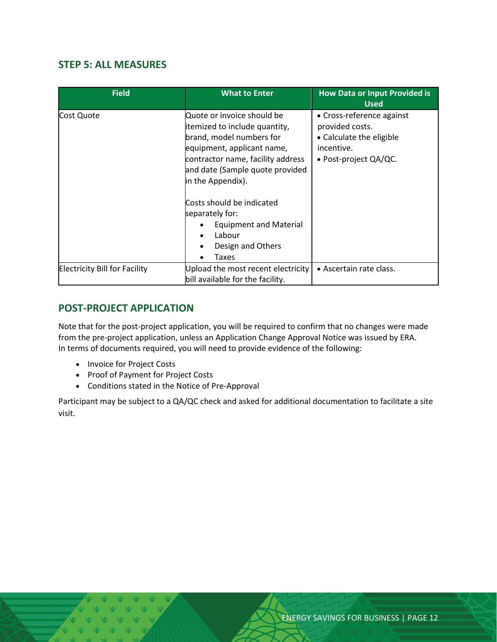#### <span id="page-11-0"></span>**STEP 5: ALL MEASURES**

| <b>Field</b>                         | <b>What to Enter</b>                                                                                                                                                                                                                            | <b>How Data or Input Provided is</b><br><b>Used</b>                                                             |
|--------------------------------------|-------------------------------------------------------------------------------------------------------------------------------------------------------------------------------------------------------------------------------------------------|-----------------------------------------------------------------------------------------------------------------|
| Cost Quote                           | Quote or invoice should be<br>itemized to include quantity,<br>brand, model numbers for<br>equipment, applicant name,<br>contractor name, facility address<br>and date (Sample quote provided<br>in the Appendix).<br>Costs should be indicated | • Cross-reference against<br>provided costs.<br>• Calculate the eligible<br>incentive.<br>• Post-project QA/QC. |
|                                      | separately for:<br><b>Equipment and Material</b><br>Labour<br>Design and Others<br>Taxes                                                                                                                                                        |                                                                                                                 |
| <b>Electricity Bill for Facility</b> | Upload the most recent electricity<br>bill available for the facility.                                                                                                                                                                          | • Ascertain rate class.                                                                                         |

#### <span id="page-11-1"></span>**POST-PROJECT APPLICATION**

Note that for the post-project application, you will be required to confirm that no changes were made from the pre-project application, unless an Application Change Approval Notice was issued by ERA. In terms of documents required, you will need to provide evidence of the following:

- Invoice for Project Costs
- Proof of Payment for Project Costs
- Conditions stated in the Notice of Pre-Approval

<span id="page-11-2"></span>Participant may be subject to a QA/QC check and asked for additional documentation to facilitate a site visit.